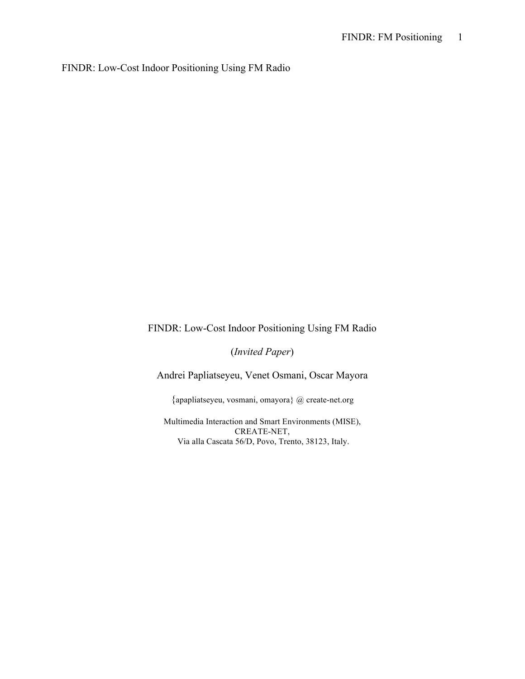FINDR: Low-Cost Indoor Positioning Using FM Radio

# FINDR: Low-Cost Indoor Positioning Using FM Radio

(*Invited Paper*)

Andrei Papliatseyeu, Venet Osmani, Oscar Mayora

{apapliatseyeu, vosmani, omayora} @ create-net.org

Multimedia Interaction and Smart Environments (MISE), CREATE-NET, Via alla Cascata 56/D, Povo, Trento, 38123, Italy.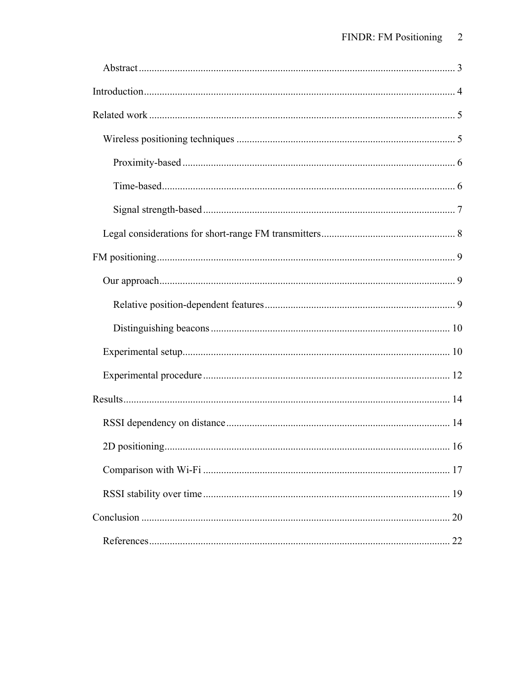| 20 |
|----|
|    |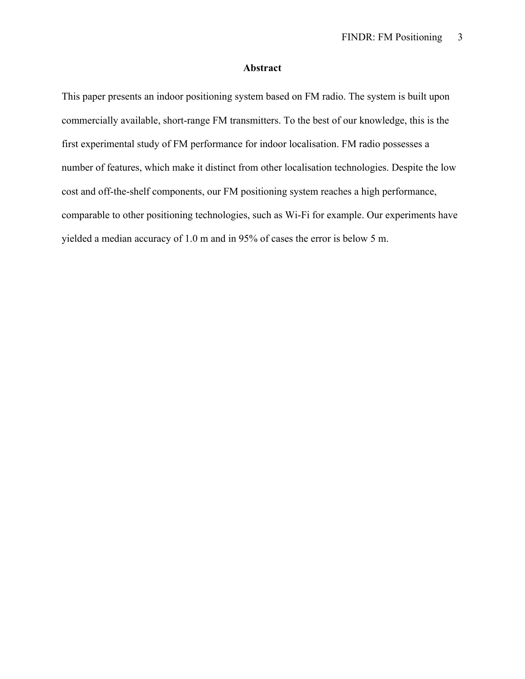# **Abstract**

This paper presents an indoor positioning system based on FM radio. The system is built upon commercially available, short-range FM transmitters. To the best of our knowledge, this is the first experimental study of FM performance for indoor localisation. FM radio possesses a number of features, which make it distinct from other localisation technologies. Despite the low cost and off-the-shelf components, our FM positioning system reaches a high performance, comparable to other positioning technologies, such as Wi-Fi for example. Our experiments have yielded a median accuracy of 1.0 m and in 95% of cases the error is below 5 m.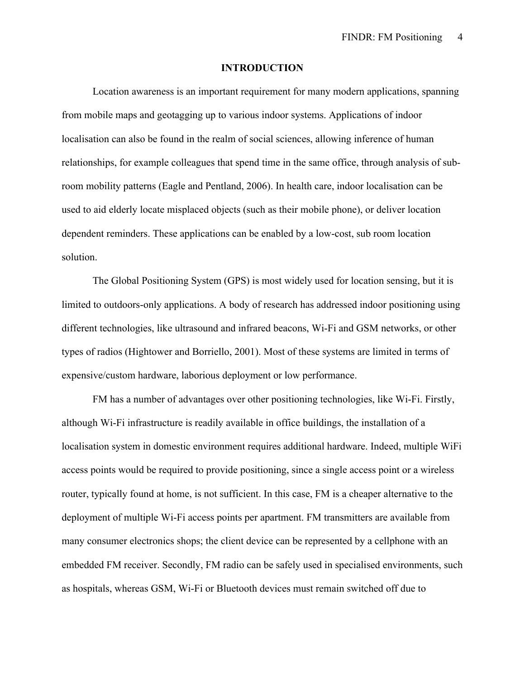#### **INTRODUCTION**

Location awareness is an important requirement for many modern applications, spanning from mobile maps and geotagging up to various indoor systems. Applications of indoor localisation can also be found in the realm of social sciences, allowing inference of human relationships, for example colleagues that spend time in the same office, through analysis of subroom mobility patterns (Eagle and Pentland, 2006). In health care, indoor localisation can be used to aid elderly locate misplaced objects (such as their mobile phone), or deliver location dependent reminders. These applications can be enabled by a low-cost, sub room location solution.

The Global Positioning System (GPS) is most widely used for location sensing, but it is limited to outdoors-only applications. A body of research has addressed indoor positioning using different technologies, like ultrasound and infrared beacons, Wi-Fi and GSM networks, or other types of radios (Hightower and Borriello, 2001). Most of these systems are limited in terms of expensive/custom hardware, laborious deployment or low performance.

FM has a number of advantages over other positioning technologies, like Wi-Fi. Firstly, although Wi-Fi infrastructure is readily available in office buildings, the installation of a localisation system in domestic environment requires additional hardware. Indeed, multiple WiFi access points would be required to provide positioning, since a single access point or a wireless router, typically found at home, is not sufficient. In this case, FM is a cheaper alternative to the deployment of multiple Wi-Fi access points per apartment. FM transmitters are available from many consumer electronics shops; the client device can be represented by a cellphone with an embedded FM receiver. Secondly, FM radio can be safely used in specialised environments, such as hospitals, whereas GSM, Wi-Fi or Bluetooth devices must remain switched off due to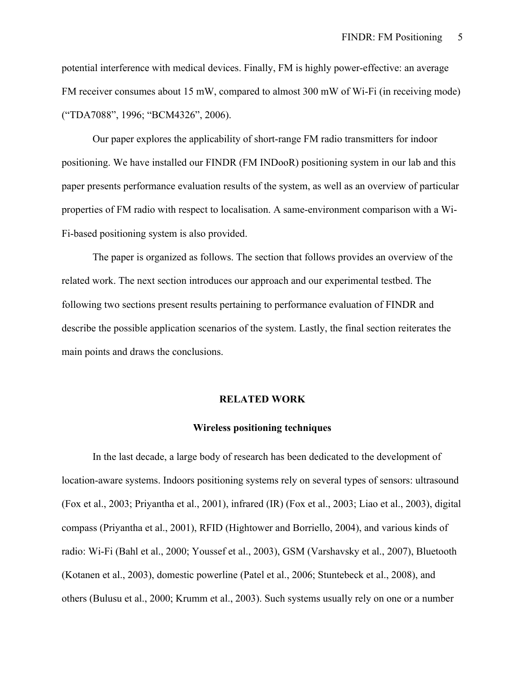potential interference with medical devices. Finally, FM is highly power-effective: an average FM receiver consumes about 15 mW, compared to almost 300 mW of Wi-Fi (in receiving mode) ("TDA7088", 1996; "BCM4326", 2006).

Our paper explores the applicability of short-range FM radio transmitters for indoor positioning. We have installed our FINDR (FM INDooR) positioning system in our lab and this paper presents performance evaluation results of the system, as well as an overview of particular properties of FM radio with respect to localisation. A same-environment comparison with a Wi-Fi-based positioning system is also provided.

The paper is organized as follows. The section that follows provides an overview of the related work. The next section introduces our approach and our experimental testbed. The following two sections present results pertaining to performance evaluation of FINDR and describe the possible application scenarios of the system. Lastly, the final section reiterates the main points and draws the conclusions.

#### **RELATED WORK**

#### **Wireless positioning techniques**

In the last decade, a large body of research has been dedicated to the development of location-aware systems. Indoors positioning systems rely on several types of sensors: ultrasound (Fox et al., 2003; Priyantha et al., 2001), infrared (IR) (Fox et al., 2003; Liao et al., 2003), digital compass (Priyantha et al., 2001), RFID (Hightower and Borriello, 2004), and various kinds of radio: Wi-Fi (Bahl et al., 2000; Youssef et al., 2003), GSM (Varshavsky et al., 2007), Bluetooth (Kotanen et al., 2003), domestic powerline (Patel et al., 2006; Stuntebeck et al., 2008), and others (Bulusu et al., 2000; Krumm et al., 2003). Such systems usually rely on one or a number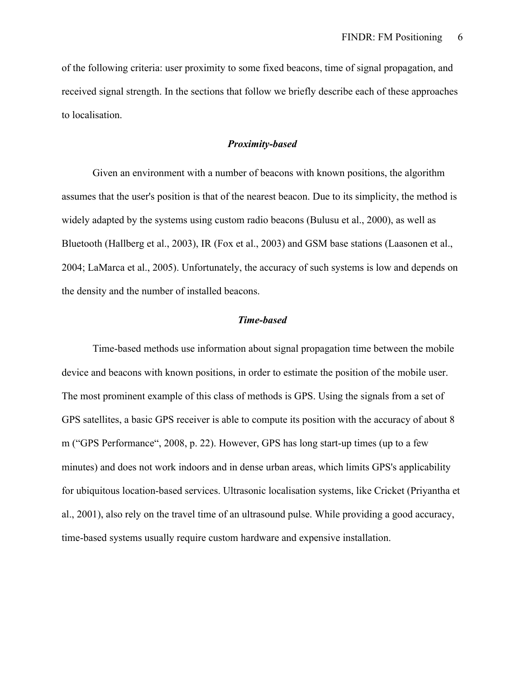of the following criteria: user proximity to some fixed beacons, time of signal propagation, and received signal strength. In the sections that follow we briefly describe each of these approaches to localisation.

## *Proximity-based*

Given an environment with a number of beacons with known positions, the algorithm assumes that the user's position is that of the nearest beacon. Due to its simplicity, the method is widely adapted by the systems using custom radio beacons (Bulusu et al., 2000), as well as Bluetooth (Hallberg et al., 2003), IR (Fox et al., 2003) and GSM base stations (Laasonen et al., 2004; LaMarca et al., 2005). Unfortunately, the accuracy of such systems is low and depends on the density and the number of installed beacons.

#### *Time-based*

Time-based methods use information about signal propagation time between the mobile device and beacons with known positions, in order to estimate the position of the mobile user. The most prominent example of this class of methods is GPS. Using the signals from a set of GPS satellites, a basic GPS receiver is able to compute its position with the accuracy of about 8 m ("GPS Performance", 2008, p. 22). However, GPS has long start-up times (up to a few minutes) and does not work indoors and in dense urban areas, which limits GPS's applicability for ubiquitous location-based services. Ultrasonic localisation systems, like Cricket (Priyantha et al., 2001), also rely on the travel time of an ultrasound pulse. While providing a good accuracy, time-based systems usually require custom hardware and expensive installation.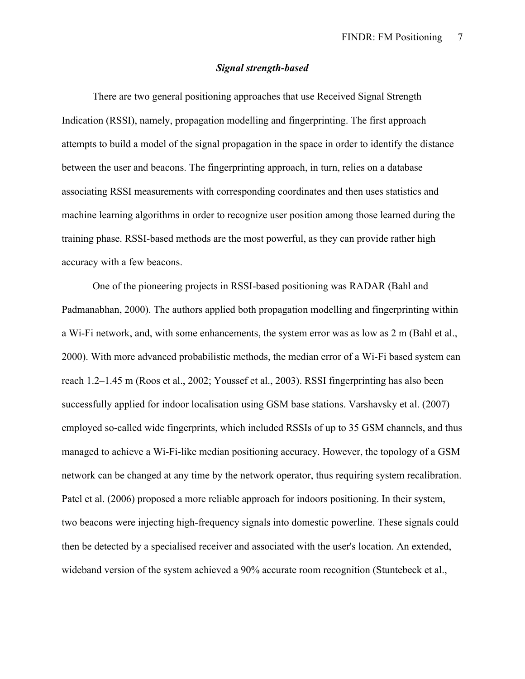## *Signal strength-based*

There are two general positioning approaches that use Received Signal Strength Indication (RSSI), namely, propagation modelling and fingerprinting. The first approach attempts to build a model of the signal propagation in the space in order to identify the distance between the user and beacons. The fingerprinting approach, in turn, relies on a database associating RSSI measurements with corresponding coordinates and then uses statistics and machine learning algorithms in order to recognize user position among those learned during the training phase. RSSI-based methods are the most powerful, as they can provide rather high accuracy with a few beacons.

One of the pioneering projects in RSSI-based positioning was RADAR (Bahl and Padmanabhan, 2000). The authors applied both propagation modelling and fingerprinting within a Wi-Fi network, and, with some enhancements, the system error was as low as 2 m (Bahl et al., 2000). With more advanced probabilistic methods, the median error of a Wi-Fi based system can reach 1.2–1.45 m (Roos et al., 2002; Youssef et al., 2003). RSSI fingerprinting has also been successfully applied for indoor localisation using GSM base stations. Varshavsky et al. (2007) employed so-called wide fingerprints, which included RSSIs of up to 35 GSM channels, and thus managed to achieve a Wi-Fi-like median positioning accuracy. However, the topology of a GSM network can be changed at any time by the network operator, thus requiring system recalibration. Patel et al. (2006) proposed a more reliable approach for indoors positioning. In their system, two beacons were injecting high-frequency signals into domestic powerline. These signals could then be detected by a specialised receiver and associated with the user's location. An extended, wideband version of the system achieved a 90% accurate room recognition (Stuntebeck et al.,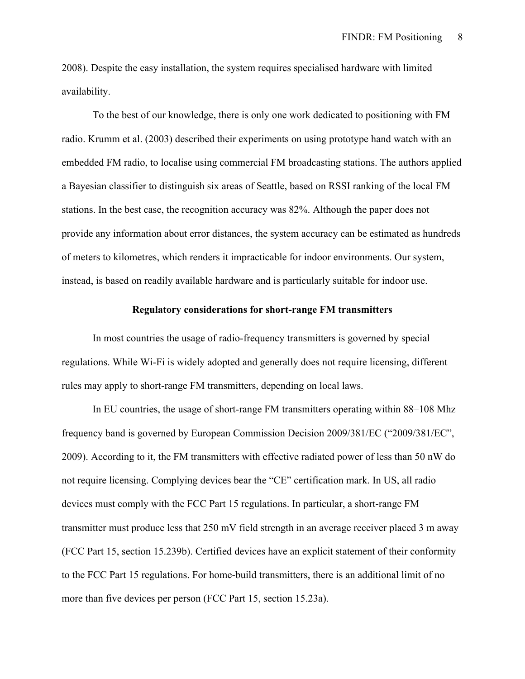2008). Despite the easy installation, the system requires specialised hardware with limited availability.

To the best of our knowledge, there is only one work dedicated to positioning with FM radio. Krumm et al. (2003) described their experiments on using prototype hand watch with an embedded FM radio, to localise using commercial FM broadcasting stations. The authors applied a Bayesian classifier to distinguish six areas of Seattle, based on RSSI ranking of the local FM stations. In the best case, the recognition accuracy was 82%. Although the paper does not provide any information about error distances, the system accuracy can be estimated as hundreds of meters to kilometres, which renders it impracticable for indoor environments. Our system, instead, is based on readily available hardware and is particularly suitable for indoor use.

## **Regulatory considerations for short-range FM transmitters**

In most countries the usage of radio-frequency transmitters is governed by special regulations. While Wi-Fi is widely adopted and generally does not require licensing, different rules may apply to short-range FM transmitters, depending on local laws.

In EU countries, the usage of short-range FM transmitters operating within 88–108 Mhz frequency band is governed by European Commission Decision 2009/381/EC ("2009/381/EC", 2009). According to it, the FM transmitters with effective radiated power of less than 50 nW do not require licensing. Complying devices bear the "CE" certification mark. In US, all radio devices must comply with the FCC Part 15 regulations. In particular, a short-range FM transmitter must produce less that 250 mV field strength in an average receiver placed 3 m away (FCC Part 15, section 15.239b). Certified devices have an explicit statement of their conformity to the FCC Part 15 regulations. For home-build transmitters, there is an additional limit of no more than five devices per person (FCC Part 15, section 15.23a).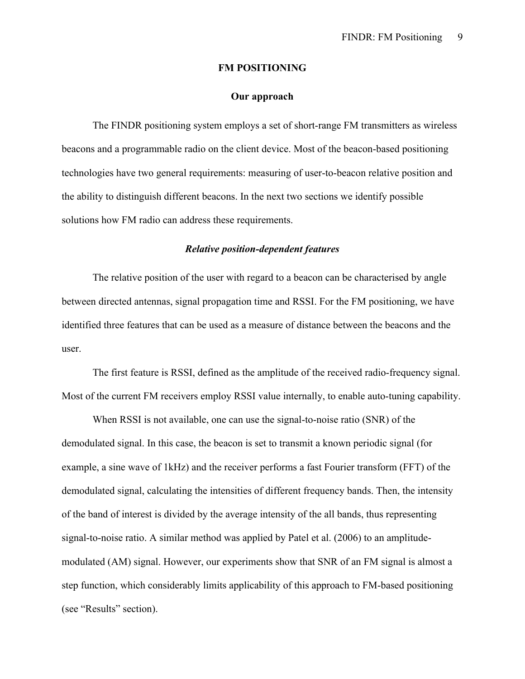#### **FM POSITIONING**

## **Our approach**

The FINDR positioning system employs a set of short-range FM transmitters as wireless beacons and a programmable radio on the client device. Most of the beacon-based positioning technologies have two general requirements: measuring of user-to-beacon relative position and the ability to distinguish different beacons. In the next two sections we identify possible solutions how FM radio can address these requirements.

## *Relative position-dependent features*

The relative position of the user with regard to a beacon can be characterised by angle between directed antennas, signal propagation time and RSSI. For the FM positioning, we have identified three features that can be used as a measure of distance between the beacons and the user.

The first feature is RSSI, defined as the amplitude of the received radio-frequency signal. Most of the current FM receivers employ RSSI value internally, to enable auto-tuning capability.

When RSSI is not available, one can use the signal-to-noise ratio (SNR) of the demodulated signal. In this case, the beacon is set to transmit a known periodic signal (for example, a sine wave of 1kHz) and the receiver performs a fast Fourier transform (FFT) of the demodulated signal, calculating the intensities of different frequency bands. Then, the intensity of the band of interest is divided by the average intensity of the all bands, thus representing signal-to-noise ratio. A similar method was applied by Patel et al. (2006) to an amplitudemodulated (AM) signal. However, our experiments show that SNR of an FM signal is almost a step function, which considerably limits applicability of this approach to FM-based positioning (see "Results" section).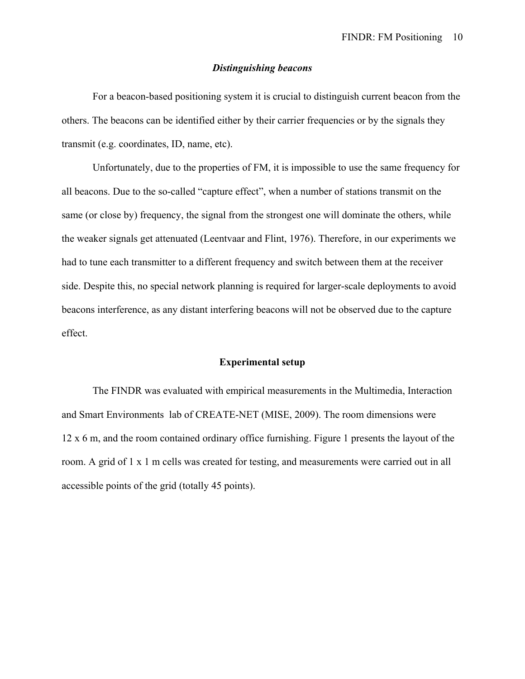## *Distinguishing beacons*

For a beacon-based positioning system it is crucial to distinguish current beacon from the others. The beacons can be identified either by their carrier frequencies or by the signals they transmit (e.g. coordinates, ID, name, etc).

Unfortunately, due to the properties of FM, it is impossible to use the same frequency for all beacons. Due to the so-called "capture effect", when a number of stations transmit on the same (or close by) frequency, the signal from the strongest one will dominate the others, while the weaker signals get attenuated (Leentvaar and Flint, 1976). Therefore, in our experiments we had to tune each transmitter to a different frequency and switch between them at the receiver side. Despite this, no special network planning is required for larger-scale deployments to avoid beacons interference, as any distant interfering beacons will not be observed due to the capture effect.

## **Experimental setup**

The FINDR was evaluated with empirical measurements in the Multimedia, Interaction and Smart Environments lab of CREATE-NET (MISE, 2009). The room dimensions were 12 x 6 m, and the room contained ordinary office furnishing. Figure 1 presents the layout of the room. A grid of 1 x 1 m cells was created for testing, and measurements were carried out in all accessible points of the grid (totally 45 points).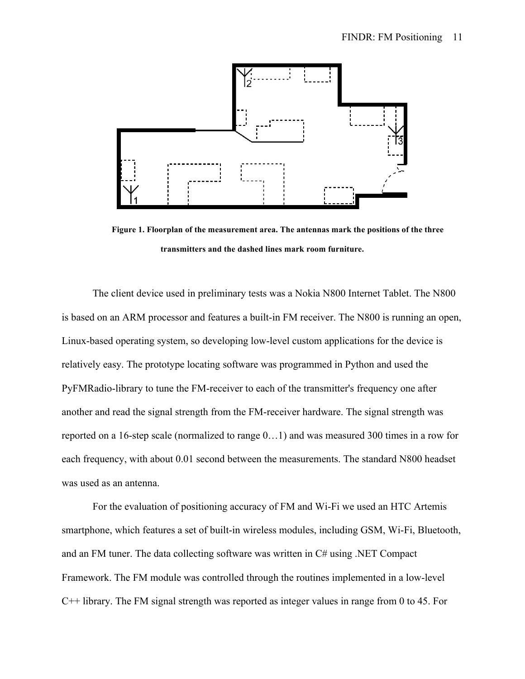

**Figure 1. Floorplan of the measurement area. The antennas mark the positions of the three transmitters and the dashed lines mark room furniture.**

The client device used in preliminary tests was a Nokia N800 Internet Tablet. The N800 is based on an ARM processor and features a built-in FM receiver. The N800 is running an open, Linux-based operating system, so developing low-level custom applications for the device is relatively easy. The prototype locating software was programmed in Python and used the PyFMRadio-library to tune the FM-receiver to each of the transmitter's frequency one after another and read the signal strength from the FM-receiver hardware. The signal strength was reported on a 16-step scale (normalized to range 0…1) and was measured 300 times in a row for each frequency, with about 0.01 second between the measurements. The standard N800 headset was used as an antenna.

For the evaluation of positioning accuracy of FM and Wi-Fi we used an HTC Artemis smartphone, which features a set of built-in wireless modules, including GSM, Wi-Fi, Bluetooth, and an FM tuner. The data collecting software was written in C# using .NET Compact Framework. The FM module was controlled through the routines implemented in a low-level C++ library. The FM signal strength was reported as integer values in range from 0 to 45. For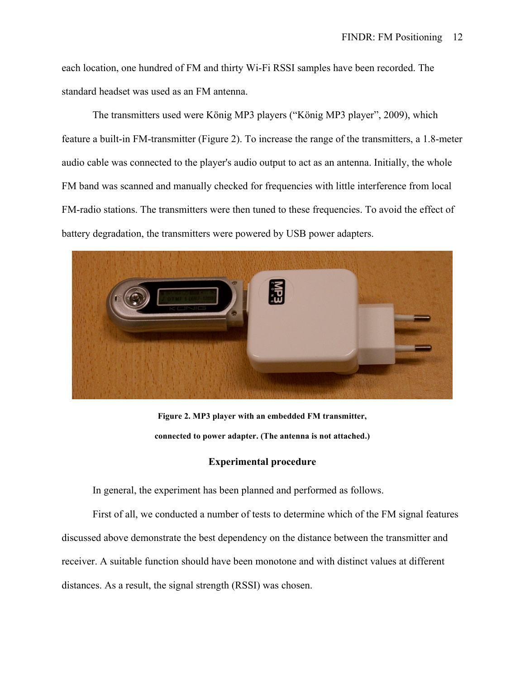each location, one hundred of FM and thirty Wi-Fi RSSI samples have been recorded. The standard headset was used as an FM antenna.

The transmitters used were König MP3 players ("König MP3 player", 2009), which feature a built-in FM-transmitter (Figure 2). To increase the range of the transmitters, a 1.8-meter audio cable was connected to the player's audio output to act as an antenna. Initially, the whole FM band was scanned and manually checked for frequencies with little interference from local FM-radio stations. The transmitters were then tuned to these frequencies. To avoid the effect of battery degradation, the transmitters were powered by USB power adapters.



**Figure 2. MP3 player with an embedded FM transmitter, connected to power adapter. (The antenna is not attached.)**

# **Experimental procedure**

In general, the experiment has been planned and performed as follows.

First of all, we conducted a number of tests to determine which of the FM signal features discussed above demonstrate the best dependency on the distance between the transmitter and receiver. A suitable function should have been monotone and with distinct values at different distances. As a result, the signal strength (RSSI) was chosen.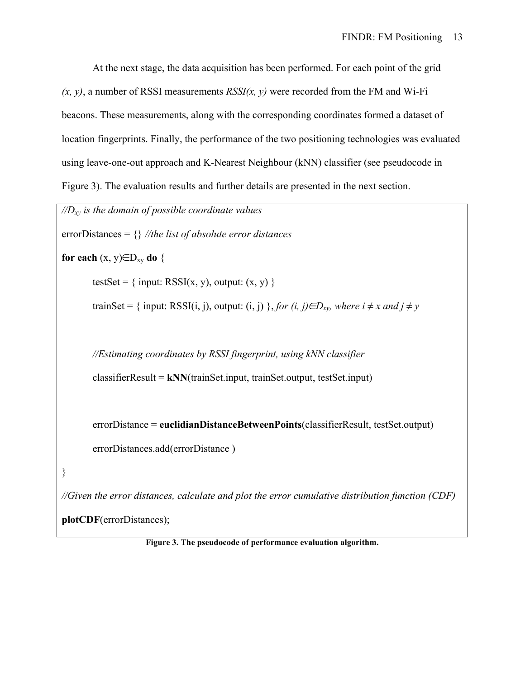At the next stage, the data acquisition has been performed. For each point of the grid  $(x, y)$ , a number of RSSI measurements  $RSSI(x, y)$  were recorded from the FM and Wi-Fi beacons. These measurements, along with the corresponding coordinates formed a dataset of location fingerprints. Finally, the performance of the two positioning technologies was evaluated using leave-one-out approach and K-Nearest Neighbour (kNN) classifier (see pseudocode in Figure 3). The evaluation results and further details are presented in the next section.

| $\sqrt{D_{xy}}$ is the domain of possible coordinate values                                                                      |
|----------------------------------------------------------------------------------------------------------------------------------|
| errorDistances = $\{\}\$ //the list of absolute error distances                                                                  |
| for each $(x, y) \in D_{xy}$ do {                                                                                                |
| testSet = { input: RSSI(x, y), output: $(x, y)$ }                                                                                |
| trainSet = { input: RSSI(i, j), output: (i, j) }, for (i, j) $\in D_{xy}$ , where $i \neq x$ and $j \neq y$                      |
|                                                                                                                                  |
| //Estimating coordinates by RSSI fingerprint, using kNN classifier                                                               |
| $\text{classifierResult} = \text{kNN}(\text{trainSet}.\text{input}, \text{trainSet}.\text{output}, \text{testSet}.\text{input})$ |
|                                                                                                                                  |
| $errorDistance = euclideanDistanceBetweenPoints(classifierResult, testSet.output)$                                               |
| errorDistances.add(errorDistance)                                                                                                |
| $\}$                                                                                                                             |
| //Given the error distances, calculate and plot the error cumulative distribution function (CDF)                                 |
| plotCDF(errorDistances);                                                                                                         |

**Figure 3. The pseudocode of performance evaluation algorithm.**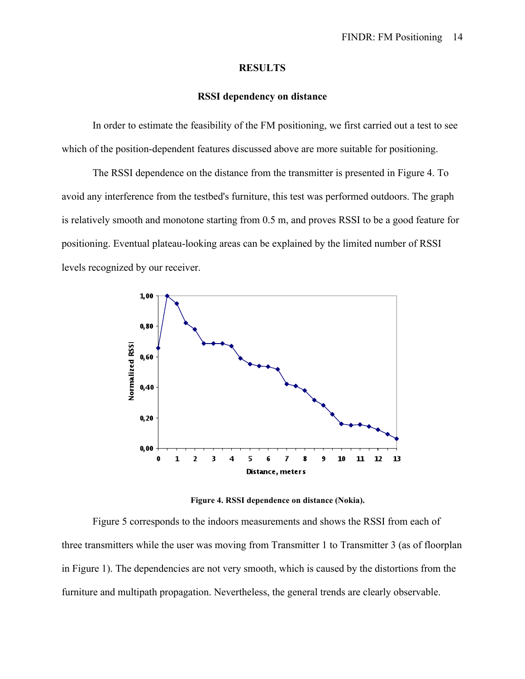## **RESULTS**

## **RSSI dependency on distance**

In order to estimate the feasibility of the FM positioning, we first carried out a test to see which of the position-dependent features discussed above are more suitable for positioning.

The RSSI dependence on the distance from the transmitter is presented in Figure 4. To avoid any interference from the testbed's furniture, this test was performed outdoors. The graph is relatively smooth and monotone starting from 0.5 m, and proves RSSI to be a good feature for positioning. Eventual plateau-looking areas can be explained by the limited number of RSSI levels recognized by our receiver.



**Figure 4. RSSI dependence on distance (Nokia).**

Figure 5 corresponds to the indoors measurements and shows the RSSI from each of three transmitters while the user was moving from Transmitter 1 to Transmitter 3 (as of floorplan in Figure 1). The dependencies are not very smooth, which is caused by the distortions from the furniture and multipath propagation. Nevertheless, the general trends are clearly observable.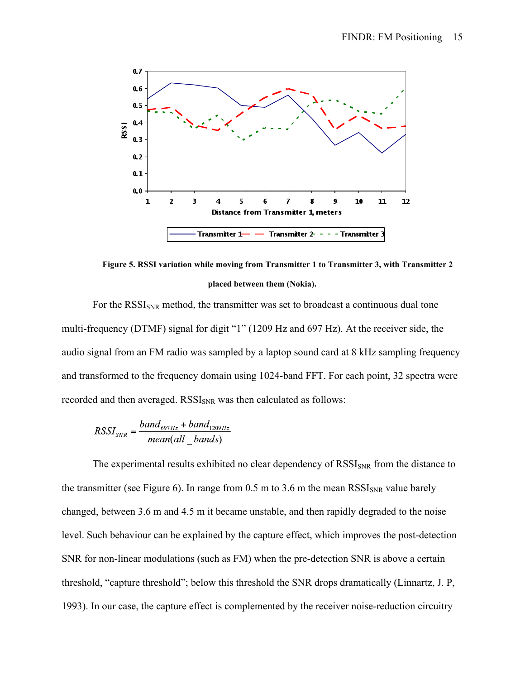

**Figure 5. RSSI variation while moving from Transmitter 1 to Transmitter 3, with Transmitter 2 placed between them (Nokia).**

For the  $RSSI<sub>SNR</sub>$  method, the transmitter was set to broadcast a continuous dual tone multi-frequency (DTMF) signal for digit "1" (1209 Hz and 697 Hz). At the receiver side, the audio signal from an FM radio was sampled by a laptop sound card at 8 kHz sampling frequency and transformed to the frequency domain using 1024-band FFT. For each point, 32 spectra were recorded and then averaged. RSSI<sub>SNR</sub> was then calculated as follows:

$$
RSSI_{SNR} = \frac{band_{697Hz} + band_{1209Hz}}{mean(all bands)}
$$

The experimental results exhibited no clear dependency of  $RSSI<sub>SNR</sub>$  from the distance to the transmitter (see Figure 6). In range from  $0.5$  m to  $3.6$  m the mean  $RSSI_{SNR}$  value barely changed, between 3.6 m and 4.5 m it became unstable, and then rapidly degraded to the noise level. Such behaviour can be explained by the capture effect, which improves the post-detection SNR for non-linear modulations (such as FM) when the pre-detection SNR is above a certain threshold, "capture threshold"; below this threshold the SNR drops dramatically (Linnartz, J. P, 1993). In our case, the capture effect is complemented by the receiver noise-reduction circuitry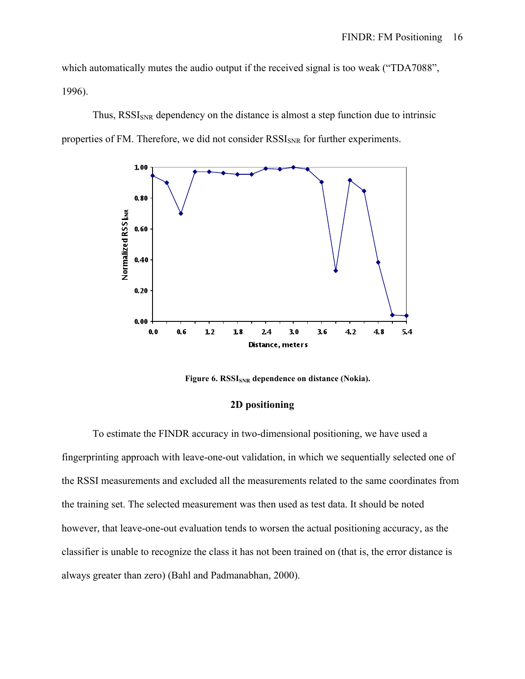which automatically mutes the audio output if the received signal is too weak ("TDA7088", 1996).

Thus, RSSI<sub>SNR</sub> dependency on the distance is almost a step function due to intrinsic properties of FM. Therefore, we did not consider RSSI<sub>SNR</sub> for further experiments.



Figure 6. RSSI<sub>SNR</sub> dependence on distance (Nokia).

## **2D positioning**

To estimate the FINDR accuracy in two-dimensional positioning, we have used a fingerprinting approach with leave-one-out validation, in which we sequentially selected one of the RSSI measurements and excluded all the measurements related to the same coordinates from the training set. The selected measurement was then used as test data. It should be noted however, that leave-one-out evaluation tends to worsen the actual positioning accuracy, as the classifier is unable to recognize the class it has not been trained on (that is, the error distance is always greater than zero) (Bahl and Padmanabhan, 2000).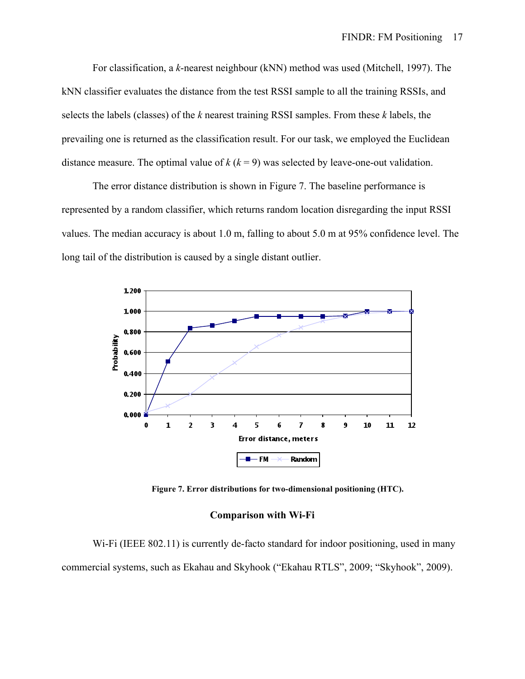For classification, a *k*-nearest neighbour (kNN) method was used (Mitchell, 1997). The kNN classifier evaluates the distance from the test RSSI sample to all the training RSSIs, and selects the labels (classes) of the *k* nearest training RSSI samples. From these *k* labels, the prevailing one is returned as the classification result. For our task, we employed the Euclidean distance measure. The optimal value of  $k (k = 9)$  was selected by leave-one-out validation.

The error distance distribution is shown in Figure 7. The baseline performance is represented by a random classifier, which returns random location disregarding the input RSSI values. The median accuracy is about 1.0 m, falling to about 5.0 m at 95% confidence level. The long tail of the distribution is caused by a single distant outlier.



**Figure 7. Error distributions for two-dimensional positioning (HTC).**

#### **Comparison with Wi-Fi**

W<sub>i-Fi</sub> (IEEE 802.11) is currently de-facto standard for indoor positioning, used in many commercial systems, such as Ekahau and Skyhook ("Ekahau RTLS", 2009; "Skyhook", 2009).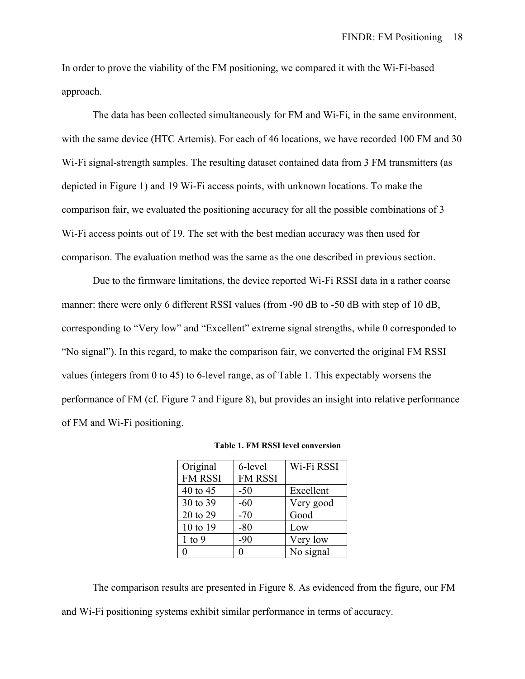In order to prove the viability of the FM positioning, we compared it with the Wi-Fi-based approach.

The data has been collected simultaneously for FM and Wi-Fi, in the same environment, with the same device (HTC Artemis). For each of 46 locations, we have recorded 100 FM and 30 Wi-Fi signal-strength samples. The resulting dataset contained data from 3 FM transmitters (as depicted in Figure 1) and 19 Wi-Fi access points, with unknown locations. To make the comparison fair, we evaluated the positioning accuracy for all the possible combinations of 3 Wi-Fi access points out of 19. The set with the best median accuracy was then used for comparison. The evaluation method was the same as the one described in previous section.

Due to the firmware limitations, the device reported Wi-Fi RSSI data in a rather coarse manner: there were only 6 different RSSI values (from -90 dB to -50 dB with step of 10 dB, corresponding to "Very low" and "Excellent" extreme signal strengths, while 0 corresponded to "No signal"). In this regard, to make the comparison fair, we converted the original FM RSSI values (integers from 0 to 45) to 6-level range, as of Table 1. This expectably worsens the performance of FM (cf. Figure 7 and Figure 8), but provides an insight into relative performance of FM and Wi-Fi positioning.

| Original<br><b>FM RSSI</b> | 6-level<br><b>FM RSSI</b> | Wi-Fi RSSI |
|----------------------------|---------------------------|------------|
| 40 to 45                   | $-50$                     | Excellent  |
| 30 to 39                   | $-60$                     | Very good  |
| 20 to 29                   | $-70$                     | Good       |
| 10 to 19                   | $-80$                     | Low        |
| $1$ to $9$                 | $-90$                     | Very low   |
|                            | 0                         | No signal  |

**Table 1. FM RSSI level conversion**

The comparison results are presented in Figure 8. As evidenced from the figure, our FM and Wi-Fi positioning systems exhibit similar performance in terms of accuracy.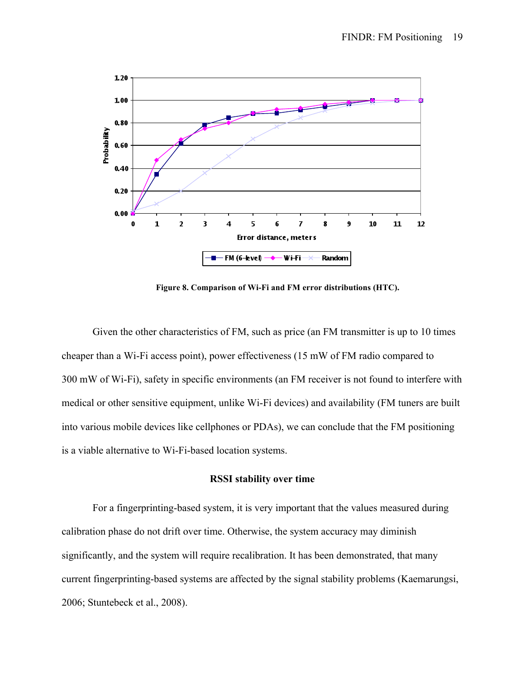

**Figure 8. Comparison of Wi-Fi and FM error distributions (HTC).**

Given the other characteristics of FM, such as price (an FM transmitter is up to 10 times cheaper than a Wi-Fi access point), power effectiveness (15 mW of FM radio compared to 300 mW of Wi-Fi), safety in specific environments (an FM receiver is not found to interfere with medical or other sensitive equipment, unlike Wi-Fi devices) and availability (FM tuners are built into various mobile devices like cellphones or PDAs), we can conclude that the FM positioning is a viable alternative to Wi-Fi-based location systems.

## **RSSI stability over time**

For a fingerprinting-based system, it is very important that the values measured during calibration phase do not drift over time. Otherwise, the system accuracy may diminish significantly, and the system will require recalibration. It has been demonstrated, that many current fingerprinting-based systems are affected by the signal stability problems (Kaemarungsi, 2006; Stuntebeck et al., 2008).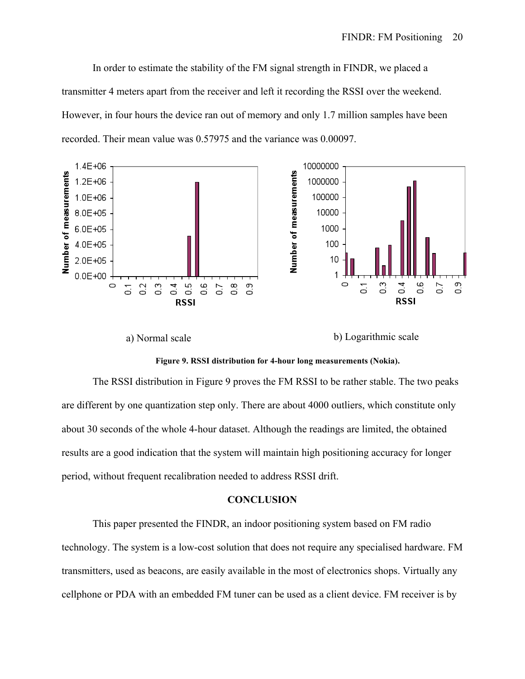In order to estimate the stability of the FM signal strength in FINDR, we placed a transmitter 4 meters apart from the receiver and left it recording the RSSI over the weekend. However, in four hours the device ran out of memory and only 1.7 million samples have been recorded. Their mean value was 0.57975 and the variance was 0.00097.



a) Normal scale b) Logarithmic scale



The RSSI distribution in Figure 9 proves the FM RSSI to be rather stable. The two peaks are different by one quantization step only. There are about 4000 outliers, which constitute only about 30 seconds of the whole 4-hour dataset. Although the readings are limited, the obtained results are a good indication that the system will maintain high positioning accuracy for longer period, without frequent recalibration needed to address RSSI drift.

# **CONCLUSION**

This paper presented the FINDR, an indoor positioning system based on FM radio technology. The system is a low-cost solution that does not require any specialised hardware. FM transmitters, used as beacons, are easily available in the most of electronics shops. Virtually any cellphone or PDA with an embedded FM tuner can be used as a client device. FM receiver is by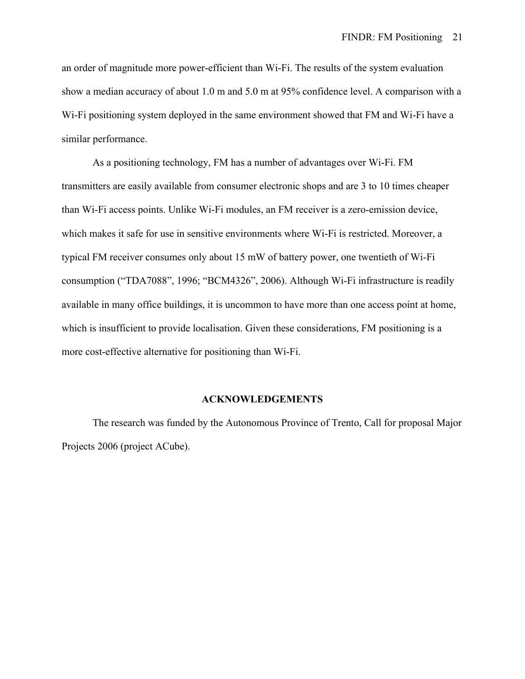an order of magnitude more power-efficient than Wi-Fi. The results of the system evaluation show a median accuracy of about 1.0 m and 5.0 m at 95% confidence level. A comparison with a Wi-Fi positioning system deployed in the same environment showed that FM and Wi-Fi have a similar performance.

As a positioning technology, FM has a number of advantages over Wi-Fi. FM transmitters are easily available from consumer electronic shops and are 3 to 10 times cheaper than Wi-Fi access points. Unlike Wi-Fi modules, an FM receiver is a zero-emission device, which makes it safe for use in sensitive environments where Wi-Fi is restricted. Moreover, a typical FM receiver consumes only about 15 mW of battery power, one twentieth of Wi-Fi consumption ("TDA7088", 1996; "BCM4326", 2006). Although Wi-Fi infrastructure is readily available in many office buildings, it is uncommon to have more than one access point at home, which is insufficient to provide localisation. Given these considerations, FM positioning is a more cost-effective alternative for positioning than Wi-Fi.

#### **ACKNOWLEDGEMENTS**

The research was funded by the Autonomous Province of Trento, Call for proposal Major Projects 2006 (project ACube).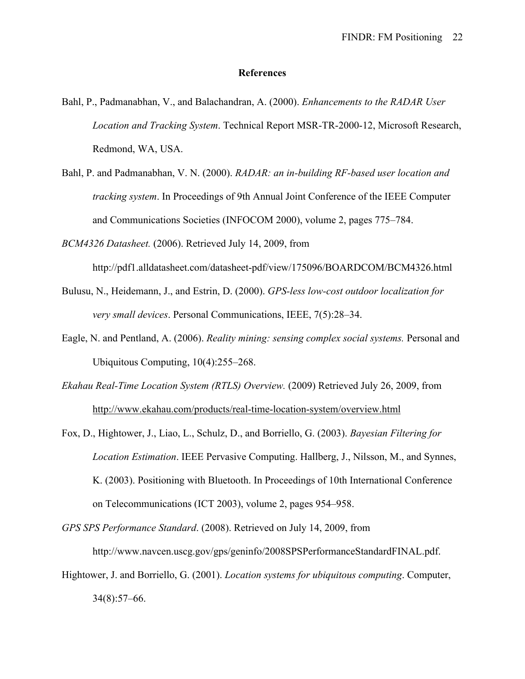## **References**

- Bahl, P., Padmanabhan, V., and Balachandran, A. (2000). *Enhancements to the RADAR User Location and Tracking System*. Technical Report MSR-TR-2000-12, Microsoft Research, Redmond, WA, USA.
- Bahl, P. and Padmanabhan, V. N. (2000). *RADAR: an in-building RF-based user location and tracking system*. In Proceedings of 9th Annual Joint Conference of the IEEE Computer and Communications Societies (INFOCOM 2000), volume 2, pages 775–784.
- *BCM4326 Datasheet.* (2006). Retrieved July 14, 2009, from

http://pdf1.alldatasheet.com/datasheet-pdf/view/175096/BOARDCOM/BCM4326.html

- Bulusu, N., Heidemann, J., and Estrin, D. (2000). *GPS-less low-cost outdoor localization for very small devices*. Personal Communications, IEEE, 7(5):28–34.
- Eagle, N. and Pentland, A. (2006). *Reality mining: sensing complex social systems.* Personal and Ubiquitous Сomputing, 10(4):255–268.
- *Ekahau Real-Time Location System (RTLS) Overview.* (2009) Retrieved July 26, 2009, from http://www.ekahau.com/products/real-time-location-system/overview.html
- Fox, D., Hightower, J., Liao, L., Schulz, D., and Borriello, G. (2003). *Bayesian Filtering for Location Estimation*. IEEE Pervasive Computing. Hallberg, J., Nilsson, M., and Synnes, K. (2003). Positioning with Bluetooth. In Proceedings of 10th International Conference on Telecommunications (ICT 2003), volume 2, pages 954–958.
- *GPS SPS Performance Standard*. (2008). Retrieved on July 14, 2009, from

http://www.navcen.uscg.gov/gps/geninfo/2008SPSPerformanceStandardFINAL.pdf.

Hightower, J. and Borriello, G. (2001). *Location systems for ubiquitous computing*. Computer, 34(8):57–66.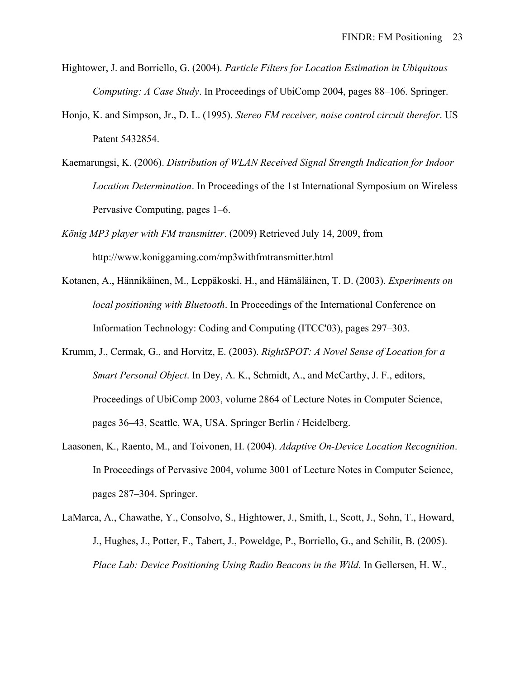- Hightower, J. and Borriello, G. (2004). *Particle Filters for Location Estimation in Ubiquitous Computing: A Case Study*. In Proceedings of UbiComp 2004, pages 88–106. Springer.
- Honjo, K. and Simpson, Jr., D. L. (1995). *Stereo FM receiver, noise control circuit therefor*. US Patent 5432854.
- Kaemarungsi, K. (2006). *Distribution of WLAN Received Signal Strength Indication for Indoor Location Determination*. In Proceedings of the 1st International Symposium on Wireless Pervasive Computing, pages 1–6.
- *König MP3 player with FM transmitter*. (2009) Retrieved July 14, 2009, from http://www.koniggaming.com/mp3withfmtransmitter.html
- Kotanen, A., Hännikäinen, M., Leppäkoski, H., and Hämäläinen, T. D. (2003). *Experiments on local positioning with Bluetooth*. In Proceedings of the International Conference on Information Technology: Coding and Computing (ITCC'03), pages 297–303.
- Krumm, J., Cermak, G., and Horvitz, E. (2003). *RightSPOT: A Novel Sense of Location for a Smart Personal Object*. In Dey, A. K., Schmidt, A., and McCarthy, J. F., editors, Proceedings of UbiComp 2003, volume 2864 of Lecture Notes in Computer Science, pages 36–43, Seattle, WA, USA. Springer Berlin / Heidelberg.
- Laasonen, K., Raento, M., and Toivonen, H. (2004). *Adaptive On-Device Location Recognition*. In Proceedings of Pervasive 2004, volume 3001 of Lecture Notes in Computer Science, pages 287–304. Springer.
- LaMarca, A., Chawathe, Y., Consolvo, S., Hightower, J., Smith, I., Scott, J., Sohn, T., Howard, J., Hughes, J., Potter, F., Tabert, J., Poweldge, P., Borriello, G., and Schilit, B. (2005). *Place Lab: Device Positioning Using Radio Beacons in the Wild*. In Gellersen, H. W.,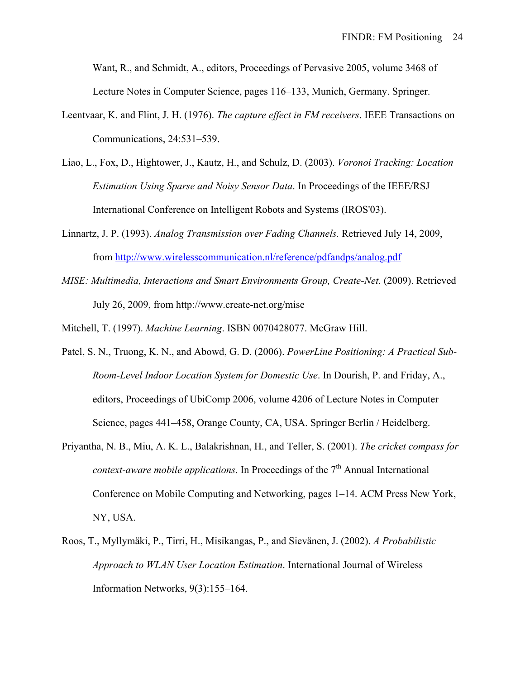Want, R., and Schmidt, A., editors, Proceedings of Pervasive 2005, volume 3468 of Lecture Notes in Computer Science, pages 116–133, Munich, Germany. Springer.

- Leentvaar, K. and Flint, J. H. (1976). *The capture effect in FM receivers*. IEEE Transactions on Communications, 24:531–539.
- Liao, L., Fox, D., Hightower, J., Kautz, H., and Schulz, D. (2003). *Voronoi Tracking: Location Estimation Using Sparse and Noisy Sensor Data*. In Proceedings of the IEEE/RSJ International Conference on Intelligent Robots and Systems (IROS'03).
- Linnartz, J. P. (1993). *Analog Transmission over Fading Channels.* Retrieved July 14, 2009, from http://www.wirelesscommunication.nl/reference/pdfandps/analog.pdf
- *MISE: Multimedia, Interactions and Smart Environments Group, Create-Net.* (2009). Retrieved July 26, 2009, from http://www.create-net.org/mise

Mitchell, T. (1997). *Machine Learning*. ISBN 0070428077. McGraw Hill.

- Patel, S. N., Truong, K. N., and Abowd, G. D. (2006). *PowerLine Positioning: A Practical Sub-Room-Level Indoor Location System for Domestic Use*. In Dourish, P. and Friday, A., editors, Proceedings of UbiComp 2006, volume 4206 of Lecture Notes in Computer Science, pages 441–458, Orange County, CA, USA. Springer Berlin / Heidelberg.
- Priyantha, N. B., Miu, A. K. L., Balakrishnan, H., and Teller, S. (2001). *The cricket compass for context-aware mobile applications.* In Proceedings of the 7<sup>th</sup> Annual International Conference on Mobile Computing and Networking, pages 1–14. ACM Press New York, NY, USA.
- Roos, T., Myllymäki, P., Tirri, H., Misikangas, P., and Sievänen, J. (2002). *A Probabilistic Approach to WLAN User Location Estimation*. International Journal of Wireless Information Networks, 9(3):155–164.